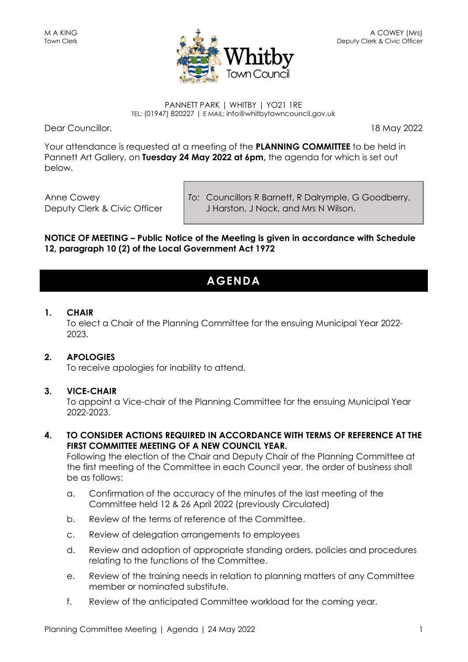

#### PANNETT PARK | WHITBY | YO21 1RE TEL: (01947) 820227 | E MAIL: info@whitbytowncouncil.gov.uk

Dear Councillor, 18 May 2022

Your attendance is requested at a meeting of the **PLANNING COMMITTEE** to be held in Pannett Art Gallery, on **Tuesday 24 May 2022 at 6pm,** the agenda for which is set out below.

Anne Cowey Deputy Clerk & Civic Officer *To:* Councillors R Barnett, R Dalrymple, G Goodberry, J Harston, J Nock, and Mrs N Wilson.

**NOTICE OF MEETING – Public Notice of the Meeting is given in accordance with Schedule 12, paragraph 10 (2) of the Local Government Act 1972**

# **AGENDA**

# **1. CHAIR**

To elect a Chair of the Planning Committee for the ensuing Municipal Year 2022- 2023.

# **2. APOLOGIES**

To receive apologies for inability to attend.

# **3. VICE-CHAIR**

To appoint a Vice-chair of the Planning Committee for the ensuing Municipal Year 2022-2023.

**4. TO CONSIDER ACTIONS REQUIRED IN ACCORDANCE WITH TERMS OF REFERENCE AT THE FIRST COMMITTEE MEETING OF A NEW COUNCIL YEAR.**

Following the election of the Chair and Deputy Chair of the Planning Committee at the first meeting of the Committee in each Council year, the order of business shall be as follows:

- a. Confirmation of the accuracy of the minutes of the last meeting of the Committee held 12 & 26 April 2022 (previously Circulated)
- b. Review of the terms of reference of the Committee.
- c. Review of delegation arrangements to employees
- d. Review and adoption of appropriate standing orders, policies and procedures relating to the functions of the Committee.
- e. Review of the training needs in relation to planning matters of any Committee member or nominated substitute.
- f. Review of the anticipated Committee workload for the coming year.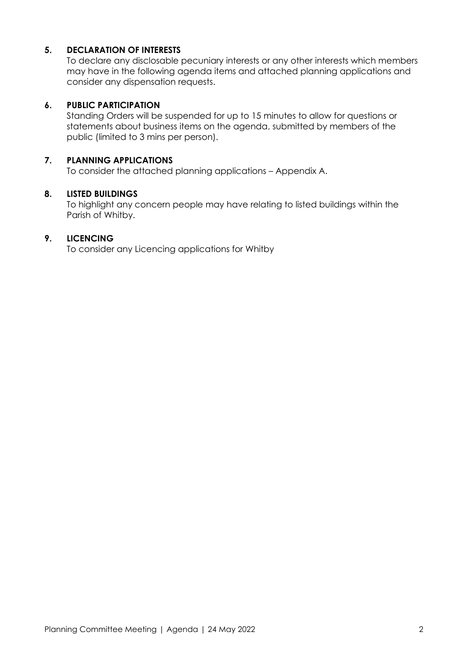# **5. DECLARATION OF INTERESTS**

To declare any disclosable pecuniary interests or any other interests which members may have in the following agenda items and attached planning applications and consider any dispensation requests.

#### **6. PUBLIC PARTICIPATION**

Standing Orders will be suspended for up to 15 minutes to allow for questions or statements about business items on the agenda, submitted by members of the public (limited to 3 mins per person).

### **7. PLANNING APPLICATIONS**

To consider the attached planning applications – Appendix A.

#### **8. LISTED BUILDINGS**

To highlight any concern people may have relating to listed buildings within the Parish of Whitby.

# **9. LICENCING**

To consider any Licencing applications for Whitby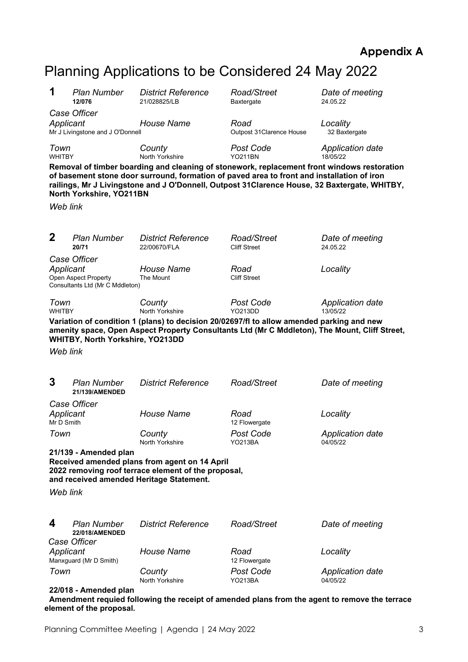# **Appendix A**

# Planning Applications to be Considered 24 May 2022

| 1                                                                                                                                                                                     | <b>Plan Number</b><br>12/076                                                                                                                                                                                                                                                                                                                                                                                                                      | <b>District Reference</b><br>21/028825/LB | Road/Street<br>Baxtergate                                                                                                                                                                  | Date of meeting<br>24.05.22         |  |
|---------------------------------------------------------------------------------------------------------------------------------------------------------------------------------------|---------------------------------------------------------------------------------------------------------------------------------------------------------------------------------------------------------------------------------------------------------------------------------------------------------------------------------------------------------------------------------------------------------------------------------------------------|-------------------------------------------|--------------------------------------------------------------------------------------------------------------------------------------------------------------------------------------------|-------------------------------------|--|
| Applicant                                                                                                                                                                             | Case Officer<br>Mr J Livingstone and J O'Donnell                                                                                                                                                                                                                                                                                                                                                                                                  | <b>House Name</b>                         | Road<br>Outpost 31 Clarence House                                                                                                                                                          | Locality<br>32 Baxtergate           |  |
| Web link                                                                                                                                                                              | Town<br>County<br>Post Code<br><b>Application date</b><br><b>WHITBY</b><br>North Yorkshire<br><b>YO211BN</b><br>18/05/22<br>Removal of timber boarding and cleaning of stonework, replacement front windows restoration<br>of basement stone door surround, formation of paved area to front and installation of iron<br>railings, Mr J Livingstone and J O'Donnell, Outpost 31Clarence House, 32 Baxtergate, WHITBY,<br>North Yorkshire, YO211BN |                                           |                                                                                                                                                                                            |                                     |  |
|                                                                                                                                                                                       |                                                                                                                                                                                                                                                                                                                                                                                                                                                   |                                           |                                                                                                                                                                                            |                                     |  |
| $\mathbf 2$                                                                                                                                                                           | <b>Plan Number</b><br>20/71                                                                                                                                                                                                                                                                                                                                                                                                                       | <b>District Reference</b><br>22/00670/FLA | Road/Street<br><b>Cliff Street</b>                                                                                                                                                         | Date of meeting<br>24.05.22         |  |
| Applicant                                                                                                                                                                             | Case Officer<br>Open Aspect Property<br>Consultants Ltd (Mr C Mddleton)                                                                                                                                                                                                                                                                                                                                                                           | <b>House Name</b><br>The Mount            | Road<br><b>Cliff Street</b>                                                                                                                                                                | Locality                            |  |
| Town<br><b>WHITBY</b>                                                                                                                                                                 |                                                                                                                                                                                                                                                                                                                                                                                                                                                   | County<br>North Yorkshire                 | <b>Post Code</b><br><b>YO213DD</b>                                                                                                                                                         | Application date<br>13/05/22        |  |
| Web link                                                                                                                                                                              | WHITBY, North Yorkshire, YO213DD                                                                                                                                                                                                                                                                                                                                                                                                                  |                                           | Variation of condition 1 (plans) to decision 20/02697/fl to allow amended parking and new<br>amenity space, Open Aspect Property Consultants Ltd (Mr C Mddleton), The Mount, Cliff Street, |                                     |  |
| 3                                                                                                                                                                                     | <b>Plan Number</b><br>21/139/AMENDED                                                                                                                                                                                                                                                                                                                                                                                                              | <b>District Reference</b>                 | Road/Street                                                                                                                                                                                | Date of meeting                     |  |
| Applicant                                                                                                                                                                             | Case Officer                                                                                                                                                                                                                                                                                                                                                                                                                                      | <b>House Name</b>                         | Road                                                                                                                                                                                       | Locality                            |  |
| Mr D Smith                                                                                                                                                                            |                                                                                                                                                                                                                                                                                                                                                                                                                                                   |                                           | 12 Flowergate                                                                                                                                                                              |                                     |  |
| Town                                                                                                                                                                                  |                                                                                                                                                                                                                                                                                                                                                                                                                                                   | County<br>North Yorkshire                 | <b>Post Code</b><br>YO213BA                                                                                                                                                                | <b>Application date</b><br>04/05/22 |  |
| 21/139 - Amended plan<br>Received amended plans from agent on 14 April<br>2022 removing roof terrace element of the proposal,<br>and received amended Heritage Statement.<br>Web link |                                                                                                                                                                                                                                                                                                                                                                                                                                                   |                                           |                                                                                                                                                                                            |                                     |  |
|                                                                                                                                                                                       |                                                                                                                                                                                                                                                                                                                                                                                                                                                   |                                           |                                                                                                                                                                                            |                                     |  |
| 4                                                                                                                                                                                     | <b>Plan Number</b><br>22/018/AMENDED<br>Case Officer                                                                                                                                                                                                                                                                                                                                                                                              | <b>District Reference</b>                 | Road/Street                                                                                                                                                                                | Date of meeting                     |  |
| Applicant                                                                                                                                                                             |                                                                                                                                                                                                                                                                                                                                                                                                                                                   | <b>House Name</b>                         | Road                                                                                                                                                                                       | Locality                            |  |
| Town                                                                                                                                                                                  | Manxguard (Mr D Smith)                                                                                                                                                                                                                                                                                                                                                                                                                            | County<br>North Yorkshire                 | 12 Flowergate<br>Post Code<br><b>YO213BA</b>                                                                                                                                               | Application date<br>04/05/22        |  |

**element of the proposal.**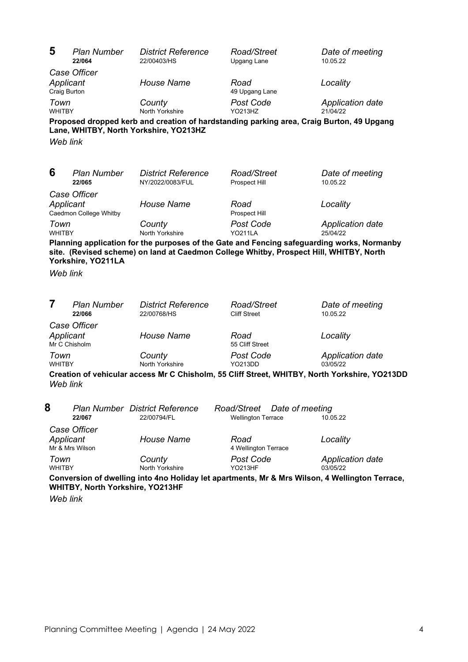| 5                         | <b>Plan Number</b><br>22/064           | <b>District Reference</b><br>22/00403/HS                                                                                           | Road/Street<br>Upgang Lane                                  | Date of meeting<br>10.05.22                                                                    |
|---------------------------|----------------------------------------|------------------------------------------------------------------------------------------------------------------------------------|-------------------------------------------------------------|------------------------------------------------------------------------------------------------|
| Applicant<br>Craig Burton | Case Officer                           | <b>House Name</b>                                                                                                                  | Road<br>49 Upgang Lane                                      | Locality                                                                                       |
| Town<br><b>WHITBY</b>     |                                        | County<br>North Yorkshire                                                                                                          | Post Code<br>YO213HZ                                        | <b>Application date</b><br>21/04/22                                                            |
|                           |                                        | Proposed dropped kerb and creation of hardstanding parking area, Craig Burton, 49 Upgang<br>Lane, WHITBY, North Yorkshire, YO213HZ |                                                             |                                                                                                |
| Web link                  |                                        |                                                                                                                                    |                                                             |                                                                                                |
| 6                         | <b>Plan Number</b><br>22/065           | <b>District Reference</b><br>NY/2022/0083/FUL                                                                                      | Road/Street<br>Prospect Hill                                | Date of meeting<br>10.05.22                                                                    |
| Applicant                 | Case Officer<br>Caedmon College Whitby | <b>House Name</b>                                                                                                                  | Road<br>Prospect Hill                                       | Locality                                                                                       |
| Town<br><b>WHITBY</b>     |                                        | County<br>North Yorkshire                                                                                                          | Post Code<br><b>YO211LA</b>                                 | <b>Application date</b><br>25/04/22                                                            |
| Web link                  | Yorkshire, YO211LA                     | site. (Revised scheme) on land at Caedmon College Whitby, Prospect Hill, WHITBY, North                                             |                                                             | Planning application for the purposes of the Gate and Fencing safeguarding works, Normanby     |
|                           |                                        |                                                                                                                                    |                                                             |                                                                                                |
| 7                         | <b>Plan Number</b><br>22/066           | <b>District Reference</b><br>22/00768/HS                                                                                           | Road/Street<br><b>Cliff Street</b>                          | Date of meeting<br>10.05.22                                                                    |
| Applicant                 | Case Officer<br>Mr C Chisholm          | <b>House Name</b>                                                                                                                  | Road<br>55 Cliff Street                                     | Locality                                                                                       |
| Town<br><b>WHITBY</b>     |                                        | County<br>North Yorkshire                                                                                                          | Post Code<br><b>YO213DD</b>                                 | <b>Application date</b><br>03/05/22                                                            |
| Web link                  |                                        |                                                                                                                                    |                                                             | Creation of vehicular access Mr C Chisholm, 55 Cliff Street, WHITBY, North Yorkshire, YO213DD  |
| 8                         | 22/067                                 | <b>Plan Number District Reference</b><br>22/00794/FL                                                                               | Road/Street<br>Date of meeting<br><b>Wellington Terrace</b> | 10.05.22                                                                                       |
| Applicant                 | Case Officer<br>Mr & Mrs Wilson        | <b>House Name</b>                                                                                                                  | Road<br>4 Wellington Terrace                                | Locality                                                                                       |
| Town<br><b>WHITBY</b>     |                                        | County<br>North Yorkshire                                                                                                          | Post Code<br><b>YO213HF</b>                                 | <b>Application date</b><br>03/05/22                                                            |
|                           | WHITBY, North Yorkshire, YO213HF       |                                                                                                                                    |                                                             | Conversion of dwelling into 4no Holiday let apartments, Mr & Mrs Wilson, 4 Wellington Terrace, |

*Web link*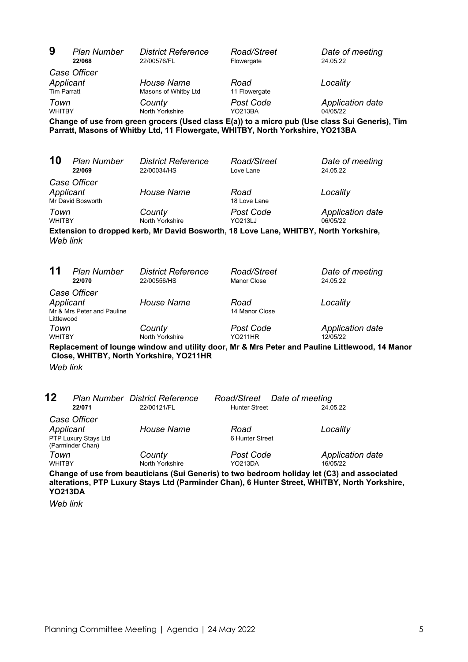| 9                                                                                                                                                                                                              | <b>Plan Number</b><br>22/068                             | <b>District Reference</b><br>22/00576/FL                                                                                                                                         | Road/Street<br>Flowergate                           | Date of meeting<br>24.05.22         |
|----------------------------------------------------------------------------------------------------------------------------------------------------------------------------------------------------------------|----------------------------------------------------------|----------------------------------------------------------------------------------------------------------------------------------------------------------------------------------|-----------------------------------------------------|-------------------------------------|
| Applicant                                                                                                                                                                                                      | Case Officer                                             | <b>House Name</b>                                                                                                                                                                | Road                                                | Locality                            |
| <b>Tim Parratt</b><br>Town<br><b>WHITBY</b>                                                                                                                                                                    |                                                          | Masons of Whitby Ltd<br>County<br>North Yorkshire                                                                                                                                | 11 Flowergate<br>Post Code<br><b>YO213BA</b>        | <b>Application date</b><br>04/05/22 |
|                                                                                                                                                                                                                |                                                          | Change of use from green grocers (Used class E(a)) to a micro pub (Use class Sui Generis), Tim<br>Parratt, Masons of Whitby Ltd, 11 Flowergate, WHITBY, North Yorkshire, YO213BA |                                                     |                                     |
|                                                                                                                                                                                                                |                                                          |                                                                                                                                                                                  |                                                     |                                     |
| 10                                                                                                                                                                                                             | <b>Plan Number</b><br>22/069                             | <b>District Reference</b><br>22/00034/HS                                                                                                                                         | Road/Street<br>Love Lane                            | Date of meeting<br>24.05.22         |
| Case Officer<br>Applicant<br>Mr David Bosworth                                                                                                                                                                 |                                                          | <b>House Name</b>                                                                                                                                                                | Road<br>18 Love Lane                                | Locality                            |
| Town<br><b>WHITBY</b>                                                                                                                                                                                          |                                                          | County<br>North Yorkshire                                                                                                                                                        | Post Code<br><b>YO213LJ</b>                         | <b>Application date</b><br>06/05/22 |
| Extension to dropped kerb, Mr David Bosworth, 18 Love Lane, WHITBY, North Yorkshire,<br>Web link                                                                                                               |                                                          |                                                                                                                                                                                  |                                                     |                                     |
| 11                                                                                                                                                                                                             | <b>Plan Number</b><br>22/070                             | <b>District Reference</b><br>22/00556/HS                                                                                                                                         | Road/Street<br><b>Manor Close</b>                   | Date of meeting<br>24.05.22         |
| Applicant<br>Littlewood                                                                                                                                                                                        | Case Officer<br>Mr & Mrs Peter and Pauline               | <b>House Name</b>                                                                                                                                                                | Road<br>14 Manor Close                              | Locality                            |
| Town<br><b>WHITBY</b>                                                                                                                                                                                          |                                                          | County<br>North Yorkshire                                                                                                                                                        | Post Code<br><b>YO211HR</b>                         | <b>Application date</b><br>12/05/22 |
| Replacement of lounge window and utility door, Mr & Mrs Peter and Pauline Littlewood, 14 Manor<br>Close, WHITBY, North Yorkshire, YO211HR                                                                      |                                                          |                                                                                                                                                                                  |                                                     |                                     |
| Web link                                                                                                                                                                                                       |                                                          |                                                                                                                                                                                  |                                                     |                                     |
| 12                                                                                                                                                                                                             | 22/071                                                   | <b>Plan Number District Reference</b><br>22/00121/FL                                                                                                                             | Road/Street Date of meeting<br><b>Hunter Street</b> | 24.05.22                            |
| Applicant                                                                                                                                                                                                      | Case Officer<br>PTP Luxury Stays Ltd<br>(Parminder Chan) | <b>House Name</b>                                                                                                                                                                | Road<br>6 Hunter Street                             | Locality                            |
| Town<br><b>WHITBY</b>                                                                                                                                                                                          |                                                          | County<br>North Yorkshire                                                                                                                                                        | Post Code<br>YO213DA                                | <b>Application date</b><br>16/05/22 |
| Change of use from beauticians (Sui Generis) to two bedroom holiday let (C3) and associated<br>alterations, PTP Luxury Stays Ltd (Parminder Chan), 6 Hunter Street, WHITBY, North Yorkshire,<br><b>YO213DA</b> |                                                          |                                                                                                                                                                                  |                                                     |                                     |

*Web link*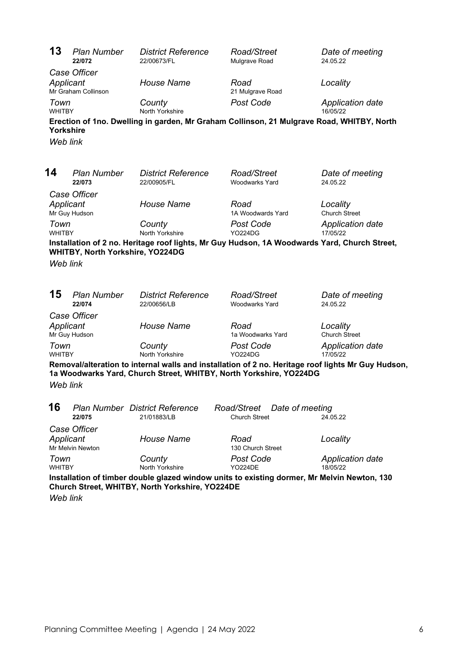| 13                    | <b>Plan Number</b><br>22/072     | <b>District Reference</b><br>22/00673/FL                                                                                                       | Road/Street<br>Mulgrave Road         | Date of meeting<br>24.05.22                                                                        |
|-----------------------|----------------------------------|------------------------------------------------------------------------------------------------------------------------------------------------|--------------------------------------|----------------------------------------------------------------------------------------------------|
|                       | Case Officer                     |                                                                                                                                                |                                      |                                                                                                    |
|                       | Applicant<br>Mr Graham Collinson | <b>House Name</b>                                                                                                                              | Road<br>21 Mulgrave Road             | Locality                                                                                           |
| Town<br><b>WHITBY</b> |                                  | County<br>North Yorkshire                                                                                                                      | <b>Post Code</b>                     | <b>Application date</b><br>16/05/22                                                                |
|                       | <b>Yorkshire</b>                 |                                                                                                                                                |                                      | Erection of 1no. Dwelling in garden, Mr Graham Collinson, 21 Mulgrave Road, WHITBY, North          |
|                       | Web link                         |                                                                                                                                                |                                      |                                                                                                    |
|                       |                                  |                                                                                                                                                |                                      |                                                                                                    |
| 14                    | <b>Plan Number</b><br>22/073     | <b>District Reference</b><br>22/00905/FL                                                                                                       | Road/Street<br><b>Woodwarks Yard</b> | Date of meeting<br>24.05.22                                                                        |
|                       | Case Officer                     |                                                                                                                                                |                                      |                                                                                                    |
|                       | Applicant<br>Mr Guy Hudson       | <b>House Name</b>                                                                                                                              | Road<br>1A Woodwards Yard            | Locality<br><b>Church Street</b>                                                                   |
| Town<br><b>WHITBY</b> |                                  | County<br>North Yorkshire                                                                                                                      | <b>Post Code</b><br><b>YO224DG</b>   | <b>Application date</b><br>17/05/22                                                                |
|                       | WHITBY, North Yorkshire, YO224DG |                                                                                                                                                |                                      | Installation of 2 no. Heritage roof lights, Mr Guy Hudson, 1A Woodwards Yard, Church Street,       |
|                       | Web link                         |                                                                                                                                                |                                      |                                                                                                    |
|                       |                                  |                                                                                                                                                |                                      |                                                                                                    |
| 15                    | <b>Plan Number</b><br>22/074     | <b>District Reference</b><br>22/00656/LB                                                                                                       | Road/Street<br><b>Woodwarks Yard</b> | Date of meeting<br>24.05.22                                                                        |
|                       | Case Officer                     |                                                                                                                                                |                                      |                                                                                                    |
|                       | Applicant<br>Mr Guy Hudson       | <b>House Name</b>                                                                                                                              | Road<br>1a Woodwarks Yard            | Locality<br><b>Church Street</b>                                                                   |
| Town<br><b>WHITBY</b> |                                  | County<br>North Yorkshire                                                                                                                      | <b>Post Code</b><br><b>YO224DG</b>   | <b>Application date</b><br>17/05/22                                                                |
|                       |                                  | 1a Woodwarks Yard, Church Street, WHITBY, North Yorkshire, YO224DG                                                                             |                                      | Removal/alteration to internal walls and installation of 2 no. Heritage roof lights Mr Guy Hudson, |
|                       | Web link                         |                                                                                                                                                |                                      |                                                                                                    |
| 16                    |                                  | <b>Plan Number District Reference</b>                                                                                                          | Road/Street<br>Date of meeting       |                                                                                                    |
|                       | 22/075                           | 21/01883/LB                                                                                                                                    | <b>Church Street</b>                 | 24.05.22                                                                                           |
|                       | Case Officer                     |                                                                                                                                                |                                      |                                                                                                    |
|                       | Applicant<br>Mr Melvin Newton    | <b>House Name</b>                                                                                                                              | Road<br>130 Church Street            | Locality                                                                                           |
| Town                  |                                  | County                                                                                                                                         | Post Code                            | <b>Application date</b>                                                                            |
| <b>WHITBY</b>         |                                  | North Yorkshire                                                                                                                                | <b>YO224DE</b>                       | 18/05/22                                                                                           |
|                       |                                  | Installation of timber double glazed window units to existing dormer, Mr Melvin Newton, 130<br>Church Street, WHITBY, North Yorkshire, YO224DE |                                      |                                                                                                    |

*Web link*